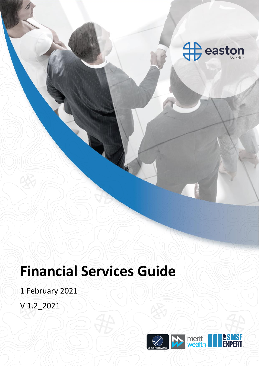

# **Financial Services Guide**

1 February 2021

V 1.2\_2021

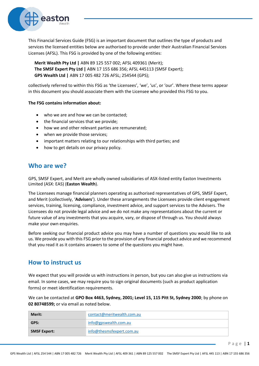

This Financial Services Guide (FSG) is an important document that outlines the type of products and services the licensed entities below are authorised to provide under their Australian Financial Services Licenses (AFSL). This FSG is provided by one of the following entities:

**Merit Wealth Pty Ltd |** ABN 89 125 557 002; AFSL 409361 (Merit); **The SMSF Expert Pty Ltd |** ABN 17 155 686 356; AFSL 445113 (SMSF Expert); **GPS Wealth Ltd |** ABN 17 005 482 726 AFSL; 254544 (GPS);

collectively referred to within this FSG as 'the Licensees', 'we', 'us', or 'our'. Where these terms appear in this document you should associate them with the Licensee who provided this FSG to you.

#### **The FSG contains information about:**

- who we are and how we can be contacted:
- the financial services that we provide;
- how we and other relevant parties are remunerated;
- when we provide those services;
- important matters relating to our relationships with third parties; and
- how to get details on our privacy policy.

## **Who are we?**

GPS, SMSF Expert, and Merit are wholly owned subsidiaries of ASX-listed entity Easton Investments Limited (ASX: EAS) (**Easton Wealth**).

The Licensees manage financial planners operating as authorised representatives of GPS, SMSF Expert, and Merit (collectively, '**Advisers**'). Under these arrangements the Licensees provide client engagement services, training, licensing, compliance, investment advice, and support services to the Advisers. The Licensees do not provide legal advice and we do not make any representations about the current or future value of any investments that you acquire, vary, or dispose of through us. You should always make your own enquiries.

Before seeking our financial product advice you may have a number of questions you would like to ask us. We provide you with this FSG prior to the provision of any financial product advice and we recommend that you read it as it contains answers to some of the questions you might have.

## **How to instruct us**

We expect that you will provide us with instructions in person, but you can also give us instructions via email. In some cases, we may require you to sign original documents (such as product application forms) or meet identification requirements.

We can be contacted at **GPO Box 4463, Sydney, 2001; Level 15, 115 Pitt St, Sydney 2000**; by phone on **02 80748599;** or via email as noted below.

| Merit:              | contact@meritwealth.com.au |
|---------------------|----------------------------|
| GPS:                | info@gpswealth.com.au      |
| <b>SMSF Expert:</b> | info@thesmsfexpert.com.au  |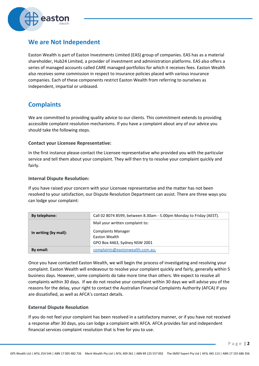

## **We are Not Independent**

Easton Wealth is part of Easton Investments Limited (EAS) group of companies. EAS has as a material shareholder, Hub24 Limited, a provider of investment and administration platforms. EAS also offers a series of managed accounts called CARE managed portfolios for which it receives fees. Easton Wealth also receives some commission in respect to insurance policies placed with various insurance companies. Each of these components restrict Easton Wealth from referring to ourselves as independent, impartial or unbiased.

## **Complaints**

We are committed to providing quality advice to our clients. This commitment extends to providing accessible complaint resolution mechanisms. If you have a complaint about any of our advice you should take the following steps.

#### **Contact your Licensee Representative:**

In the first instance please contact the Licensee representative who provided you with the particular service and tell them about your complaint. They will then try to resolve your complaint quickly and fairly.

#### **Internal Dispute Resolution:**

If you have raised your concern with your Licensee representative and the matter has not been resolved to your satisfaction, our Dispute Resolution Department can assist. There are three ways you can lodge your complaint:

| By telephone:         | Call 02 8074 8599, between 8.30am - 5.00pm Monday to Friday (AEST).         |
|-----------------------|-----------------------------------------------------------------------------|
| In writing (by mail): | Mail your written complaint to:                                             |
|                       | <b>Complaints Manager</b><br>Easton Wealth<br>GPO Box 4463, Sydney NSW 2001 |
| By email:             | complaints@eastonwealth.com.au;                                             |

Once you have contacted Easton Wealth, we will begin the process of investigating and resolving your complaint. Easton Wealth will endeavour to resolve your complaint quickly and fairly, generally within 5 business days. However, some complaints do take more time than others. We expect to resolve all complaints within 30 days. If we do not resolve your complaint within 30 days we will advise you of the reasons for the delay, your right to contact the Australian Financial Complaints Authority (AFCA) if you are dissatisfied, as well as AFCA's contact details.

### **External Dispute Resolution**

If you do not feel your complaint has been resolved in a satisfactory manner, or if you have not received a response after 30 days, you can lodge a complaint with AFCA. AFCA provides fair and independent financial services complaint resolution that is free for you to use.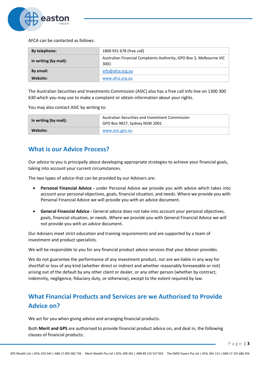

AFCA can be contacted as follows:

| By telephone:         | 1800 931 678 (free call)                                                    |
|-----------------------|-----------------------------------------------------------------------------|
| In writing (by mail): | Australian Financial Complaints Authority, GPO Box 3, Melbourne VIC<br>3001 |
| By email:             | info@afca.org.au                                                            |
| Website:              | www.afca.org.au                                                             |

The Australian Securities and Investments Commission (ASIC) also has a free call Info line on 1300 300 630 which you may use to make a complaint or obtain information about your rights.

You may also contact ASIC by writing to:

| In writing (by mail): | Australian Securities and Investment Commission<br>GPO Box 9827, Sydney NSW 2001 |
|-----------------------|----------------------------------------------------------------------------------|
| Website:              | www.asic.gov.au                                                                  |

## **What is our Advice Process?**

Our advice to you is principally about developing appropriate strategies to achieve your financial goals, taking into account your current circumstances.

The two types of advice that can be provided by our Advisers are:

- **Personal Financial Advice -** under Personal Advice we provide you with advice which takes into account your personal objectives, goals, financial situation, and needs. Where we provide you with Personal Financial Advice we will provide you with an advice document.
- **General Financial Advice -** General advice does not take into account your personal objectives, goals, financial situation, or needs. Where we provide you with General Financial Advice we will not provide you with an advice document.

Our Advisers meet strict education and training requirements and are supported by a team of investment and product specialists.

We will be responsible to you for any financial product advice services that your Adviser provides.

We do not guarantee the performance of any investment product, nor are we liable in any way for shortfall or loss of any kind (whether direct or indirect and whether reasonably foreseeable or not) arising out of the default by any other client or dealer, or any other person (whether by contract, indemnity, negligence, fiduciary duty, or otherwise), except to the extent required by law.

# **What Financial Products and Services are we Authorised to Provide Advice on?**

We act for you when giving advice and arranging financial products.

Both **Merit and GPS** are authorised to provide financial product advice on, and deal in, the following classes of financial products: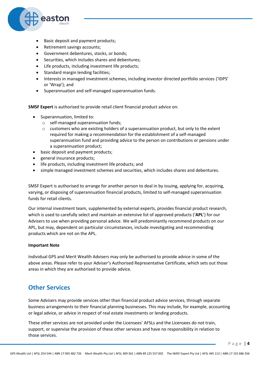

- Basic deposit and payment products;
- Retirement savings accounts;
- Government debentures, stocks, or bonds;
- Securities, which includes shares and debentures:
- Life products, including investment life products;
- Standard margin lending facilities;
- Interests in managed investment schemes, including investor directed portfolio services ('IDPS' or 'Wrap'); and
- Superannuation and self-managed superannuation funds.

**SMSF Expert** is authorised to provide retail client financial product advice on:

- Superannuation, limited to:
	- o self-managed superannuation funds;
	- $\circ$  customers who are existing holders of a superannuation product, but only to the extent required for making a recommendation for the establishment of a self-managed superannuation fund and providing advice to the person on contributions or pensions under a superannuation product;
- basic deposit and payment products;
- general insurance products;
- life products, including investment life products; and
- simple managed investment schemes and securities, which includes shares and debentures.

SMSF Expert is authorised to arrange for another person to deal in by issuing, applying for, acquiring, varying, or disposing of superannuation financial products, limited to self-managed superannuation funds for retail clients.

Our internal investment team, supplemented by external experts, provides financial product research, which is used to carefully select and maintain an extensive list of approved products ('**APL**') for our Advisers to use when providing personal advice. We will predominantly recommend products on our APL, but may, dependent on particular circumstances, include investigating and recommending products which are not on the APL.

#### **Important Note**

Individual GPS and Merit Wealth Advisers may only be authorised to provide advice in some of the above areas. Please refer to your Adviser's Authorised Representative Certificate, which sets out those areas in which they are authorised to provide advice.

## **Other Services**

Some Advisers may provide services other than financial product advice services, through separate business arrangements to their financial planning businesses. This may include, for example, accounting or legal advice, or advice in respect of real estate investments or lending products.

These other services are not provided under the Licensees' AFSLs and the Licensees do not train, support, or supervise the provision of these other services and have no responsibility in relation to those services.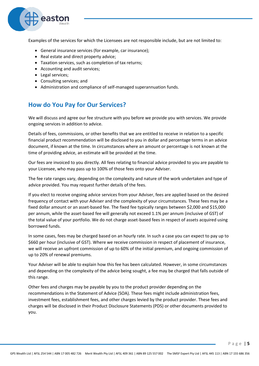

Examples of the services for which the Licensees are not responsible include, but are not limited to:

- General insurance services (for example, car insurance);
- Real estate and direct property advice;
- Taxation services, such as completion of tax returns;
- Accounting and audit services;
- Legal services;
- Consulting services; and
- Administration and compliance of self-managed superannuation funds.

## **How do You Pay for Our Services?**

We will discuss and agree our fee structure with you before we provide you with services. We provide ongoing services in addition to advice.

Details of fees, commissions, or other benefits that we are entitled to receive in relation to a specific financial product recommendation will be disclosed to you in dollar and percentage terms in an advice document, if known at the time. In circumstances where an amount or percentage is not known at the time of providing advice, an estimate will be provided at the time.

Our fees are invoiced to you directly. All fees relating to financial advice provided to you are payable to your Licensee, who may pass up to 100% of those fees onto your Adviser.

The fee rate ranges vary, depending on the complexity and nature of the work undertaken and type of advice provided. You may request further details of the fees.

If you elect to receive ongoing advice services from your Adviser, fees are applied based on the desired frequency of contact with your Adviser and the complexity of your circumstances. These fees may be a fixed dollar amount or an asset-based fee. The fixed fee typically ranges between \$2,000 and \$15,000 per annum, while the asset-based fee will generally not exceed 1.1% per annum (inclusive of GST) of the total value of your portfolio. We do not charge asset-based fees in respect of assets acquired using borrowed funds.

In some cases, fees may be charged based on an hourly rate. In such a case you can expect to pay up to \$660 per hour (inclusive of GST). Where we receive commission in respect of placement of insurance, we will receive an upfront commission of up to 60% of the initial premium, and ongoing commission of up to 20% of renewal premiums.

Your Adviser will be able to explain how this fee has been calculated. However, in some circumstances and depending on the complexity of the advice being sought, a fee may be charged that falls outside of this range.

Other fees and charges may be payable by you to the product provider depending on the recommendations in the Statement of Advice (SOA). These fees might include administration fees, investment fees, establishment fees, and other charges levied by the product provider. These fees and charges will be disclosed in their Product Disclosure Statements (PDS) or other documents provided to you.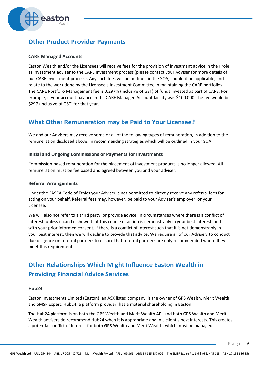

## **Other Product Provider Payments**

#### **CARE Managed Accounts**

Easton Wealth and/or the Licensees will receive fees for the provision of investment advice in their role as investment adviser to the CARE investment process (please contact your Adviser for more details of our CARE investment process). Any such fees will be outlined in the SOA, should it be applicable, and relate to the work done by the Licensee's Investment Committee in maintaining the CARE portfolios. The CARE Portfolio Management fee is 0.297% (inclusive of GST) of funds invested as part of CARE. For example, if your account balance in the CARE Managed Account facility was \$100,000, the fee would be \$297 (inclusive of GST) for that year.

## **What Other Remuneration may be Paid to Your Licensee?**

We and our Advisers may receive some or all of the following types of remuneration, in addition to the remuneration disclosed above, in recommending strategies which will be outlined in your SOA:

#### **Initial and Ongoing Commissions or Payments for Investments**

Commission-based remuneration for the placement of investment products is no longer allowed. All remuneration must be fee based and agreed between you and your adviser.

#### **Referral Arrangements**

Under the FASEA Code of Ethics your Adviser is not permitted to directly receive any referral fees for acting on your behalf. Referral fees may, however, be paid to your Adviser's employer, or your Licensee.

We will also not refer to a third party, or provide advice, in circumstances where there is a conflict of interest, unless it can be shown that this course of action is demonstrably in your best interest, and with your prior informed consent. If there is a conflict of interest such that it is not demonstrably in your best interest, then we will decline to provide that advice. We require all of our Advisers to conduct due diligence on referral partners to ensure that referral partners are only recommended where they meet this requirement.

# **Other Relationships Which Might Influence Easton Wealth in Providing Financial Advice Services**

#### **Hub24**

Easton Investments Limited (Easton), an ASX listed company, is the owner of GPS Wealth, Merit Wealth and SMSF Expert. Hub24, a platform provider, has a material shareholding in Easton.

The Hub24 platform is on both the GPS Wealth and Merit Wealth APL and both GPS Wealth and Merit Wealth advisers do recommend Hub24 when it is appropriate and in a client's best interests. This creates a potential conflict of interest for both GPS Wealth and Merit Wealth, which must be managed.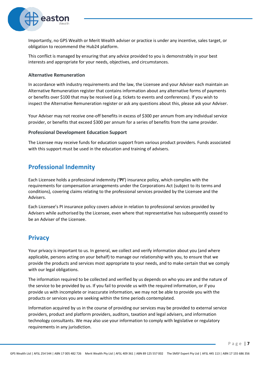

Importantly, no GPS Wealth or Merit Wealth adviser or practice is under any incentive, sales target, or obligation to recommend the Hub24 platform.

This conflict is managed by ensuring that any advice provided to you is demonstrably in your best interests and appropriate for your needs, objectives, and circumstances.

#### **Alternative Remuneration**

In accordance with industry requirements and the law, the Licensee and your Adviser each maintain an Alternative Remuneration register that contains information about any alternative forms of payments or benefits over \$100 that may be received (e.g. tickets to events and conferences). If you wish to inspect the Alternative Remuneration register or ask any questions about this, please ask your Adviser.

Your Adviser may not receive one-off benefits in excess of \$300 per annum from any individual service provider, or benefits that exceed \$300 per annum for a series of benefits from the same provider.

#### **Professional Development Education Support**

The Licensee may receive funds for education support from various product providers. Funds associated with this support must be used in the education and training of advisers.

## **Professional Indemnity**

Each Licensee holds a professional indemnity (**'PI'**) insurance policy, which complies with the requirements for compensation arrangements under the Corporations Act (subject to its terms and conditions), covering claims relating to the professional services provided by the Licensee and the Advisers.

Each Licensee's PI insurance policy covers advice in relation to professional services provided by Advisers while authorised by the Licensee, even where that representative has subsequently ceased to be an Adviser of the Licensee.

## **Privacy**

Your privacy is important to us. In general, we collect and verify information about you (and where applicable, persons acting on your behalf) to manage our relationship with you, to ensure that we provide the products and services most appropriate to your needs, and to make certain that we comply with our legal obligations.

The information required to be collected and verified by us depends on who you are and the nature of the service to be provided by us. If you fail to provide us with the required information, or if you provide us with incomplete or inaccurate information, we may not be able to provide you with the products or services you are seeking within the time periods contemplated.

Information acquired by us in the course of providing our services may be provided to external service providers, product and platform providers, auditors, taxation and legal advisers, and information technology consultants. We may also use your information to comply with legislative or regulatory requirements in any jurisdiction.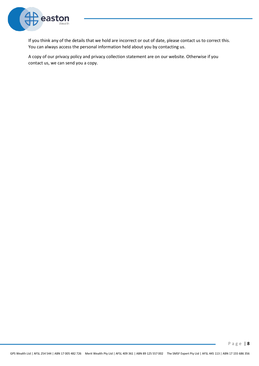

If you think any of the details that we hold are incorrect or out of date, please contact us to correct this. You can always access the personal information held about you by contacting us.

A copy of our privacy policy and privacy collection statement are on our website. Otherwise if you contact us, we can send you a copy.